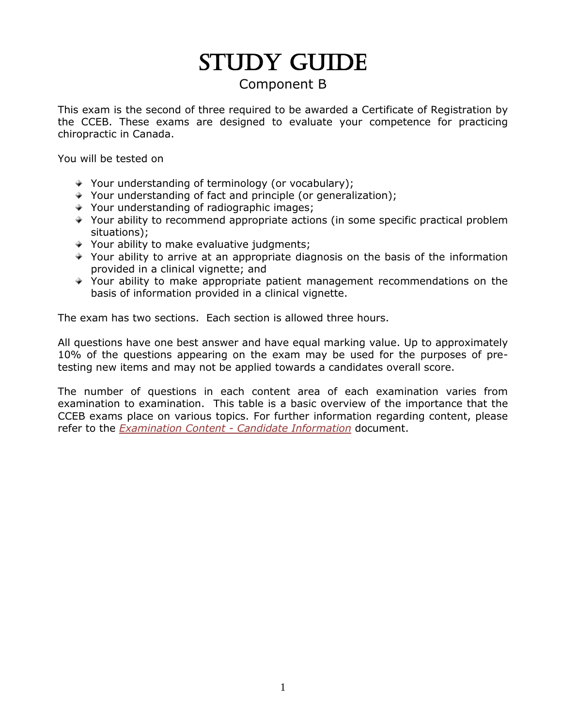# STUDY GUIDE

# Component B

This exam is the second of three required to be awarded a Certificate of Registration by the CCEB. These exams are designed to evaluate your competence for practicing chiropractic in Canada.

You will be tested on

- $\rightarrow$  Your understanding of terminology (or vocabulary);
- Your understanding of fact and principle (or generalization);
- $\rightarrow$  Your understanding of radiographic images;
- Your ability to recommend appropriate actions (in some specific practical problem situations);
- $\rightarrow$  Your ability to make evaluative judgments;
- Your ability to arrive at an appropriate diagnosis on the basis of the information provided in a clinical vignette; and
- Your ability to make appropriate patient management recommendations on the basis of information provided in a clinical vignette.

The exam has two sections. Each section is allowed three hours.

All questions have one best answer and have equal marking value. Up to approximately 10% of the questions appearing on the exam may be used for the purposes of pretesting new items and may not be applied towards a candidates overall score.

The number of questions in each content area of each examination varies from examination to examination. This table is a basic overview of the importance that the CCEB exams place on various topics. For further information regarding content, please refer to the *Examination Content - Candidate Information* document.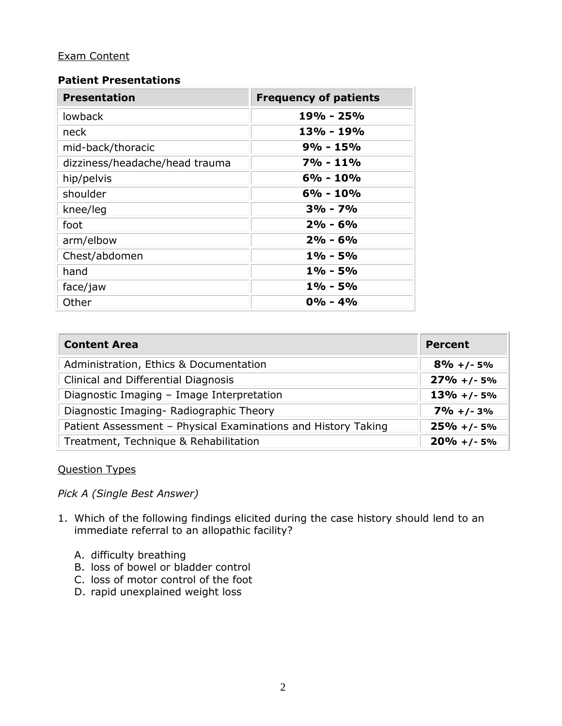## Exam Content

### **Patient Presentations**

| <b>Presentation</b>            | <b>Frequency of patients</b> |
|--------------------------------|------------------------------|
| lowback                        | 19% - 25%                    |
| neck                           | 13% - 19%                    |
| mid-back/thoracic              | $9% - 15%$                   |
| dizziness/headache/head trauma | 7% - 11%                     |
| hip/pelvis                     | $6% - 10%$                   |
| shoulder                       | $6\% - 10\%$                 |
| knee/leg                       | $3\% - 7\%$                  |
| foot                           | $2\% - 6\%$                  |
| arm/elbow                      | $2\% - 6\%$                  |
| Chest/abdomen                  | $1\%$ - 5%                   |
| hand                           | $1\% - 5\%$                  |
| face/jaw                       | $1\% - 5\%$                  |
| Other                          | $0\% - 4\%$                  |

| <b>Content Area</b>                                           | <b>Percent</b>  |
|---------------------------------------------------------------|-----------------|
| Administration, Ethics & Documentation                        | $8\% + (-5\%$   |
| Clinical and Differential Diagnosis                           | $27\% + (-5\%$  |
| Diagnostic Imaging - Image Interpretation                     | $13\% + (-5\%$  |
| Diagnostic Imaging-Radiographic Theory                        | $7\% + 1 - 3\%$ |
| Patient Assessment - Physical Examinations and History Taking | $25% + 1 - 5%$  |
| Treatment, Technique & Rehabilitation                         | $20\% + (-5\%$  |

### Question Types

*Pick A (Single Best Answer)*

- 1. Which of the following findings elicited during the case history should lend to an immediate referral to an allopathic facility?
	- A. difficulty breathing
	- B. loss of bowel or bladder control
	- C. loss of motor control of the foot
	- D. rapid unexplained weight loss